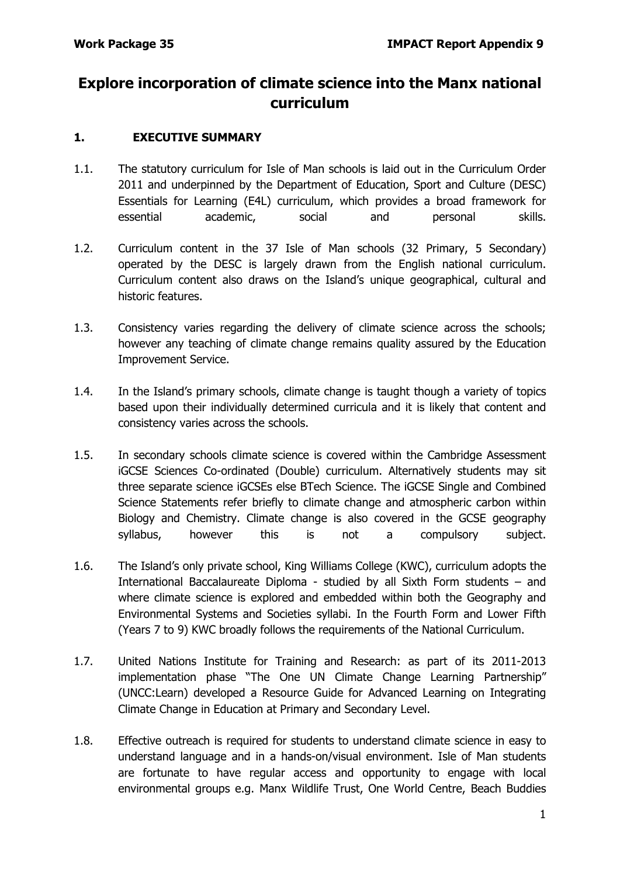# **Explore incorporation of climate science into the Manx national curriculum**

#### **1. EXECUTIVE SUMMARY**

- 1.1. The statutory curriculum for Isle of Man schools is laid out in the Curriculum Order 2011 and underpinned by the Department of Education, Sport and Culture (DESC) Essentials for Learning (E4L) curriculum, which provides a broad framework for essential academic, social and personal skills.
- 1.2. Curriculum content in the 37 Isle of Man schools (32 Primary, 5 Secondary) operated by the DESC is largely drawn from the English national curriculum. Curriculum content also draws on the Island's unique geographical, cultural and historic features.
- 1.3. Consistency varies regarding the delivery of climate science across the schools; however any teaching of climate change remains quality assured by the Education Improvement Service.
- 1.4. In the Island's primary schools, climate change is taught though a variety of topics based upon their individually determined curricula and it is likely that content and consistency varies across the schools.
- 1.5. In secondary schools climate science is covered within the Cambridge Assessment iGCSE Sciences Co-ordinated (Double) curriculum. Alternatively students may sit three separate science iGCSEs else BTech Science. The iGCSE Single and Combined Science Statements refer briefly to climate change and atmospheric carbon within Biology and Chemistry. Climate change is also covered in the GCSE geography syllabus, however this is not a compulsory subject.
- 1.6. The Island's only private school, King Williams College (KWC), curriculum adopts the International Baccalaureate Diploma - studied by all Sixth Form students – and where climate science is explored and embedded within both the Geography and Environmental Systems and Societies syllabi. In the Fourth Form and Lower Fifth (Years 7 to 9) KWC broadly follows the requirements of the National Curriculum.
- 1.7. United Nations Institute for Training and Research: as part of its 2011-2013 implementation phase "The One UN Climate Change Learning Partnership" (UNCC:Learn) developed a Resource Guide for Advanced Learning on Integrating Climate Change in Education at Primary and Secondary Level.
- 1.8. Effective outreach is required for students to understand climate science in easy to understand language and in a hands-on/visual environment. Isle of Man students are fortunate to have regular access and opportunity to engage with local environmental groups e.g. Manx Wildlife Trust, One World Centre, Beach Buddies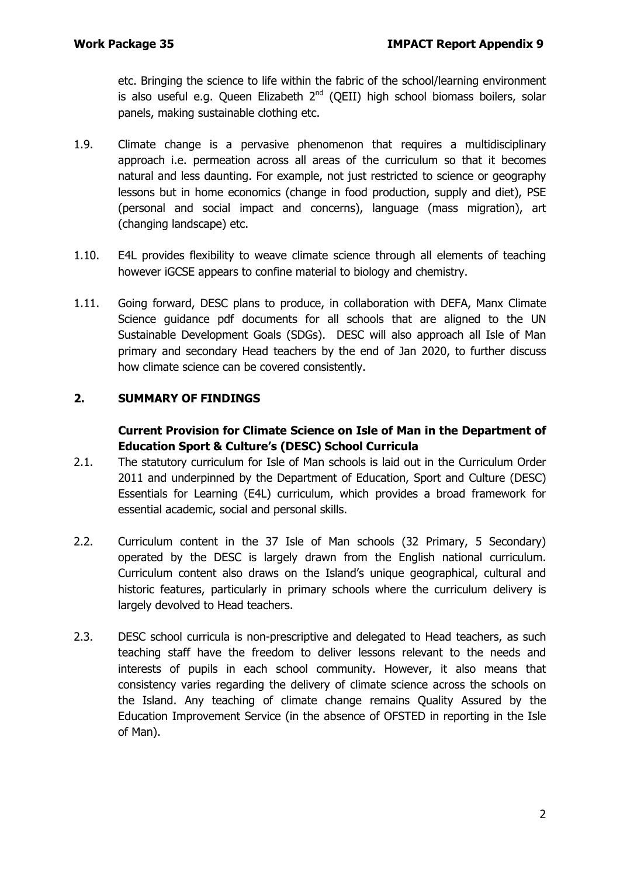etc. Bringing the science to life within the fabric of the school/learning environment is also useful e.g. Queen Elizabeth  $2^{nd}$  (QEII) high school biomass boilers, solar panels, making sustainable clothing etc.

- 1.9. Climate change is a pervasive phenomenon that requires a multidisciplinary approach i.e. permeation across all areas of the curriculum so that it becomes natural and less daunting. For example, not just restricted to science or geography lessons but in home economics (change in food production, supply and diet), PSE (personal and social impact and concerns), language (mass migration), art (changing landscape) etc.
- 1.10. E4L provides flexibility to weave climate science through all elements of teaching however iGCSE appears to confine material to biology and chemistry.
- 1.11. Going forward, DESC plans to produce, in collaboration with DEFA, Manx Climate Science guidance pdf documents for all schools that are aligned to the UN Sustainable Development Goals (SDGs). DESC will also approach all Isle of Man primary and secondary Head teachers by the end of Jan 2020, to further discuss how climate science can be covered consistently.

## **2. SUMMARY OF FINDINGS**

#### **Current Provision for Climate Science on Isle of Man in the Department of Education Sport & Culture's (DESC) School Curricula**

- 2.1. The statutory curriculum for Isle of Man schools is laid out in the Curriculum Order 2011 and underpinned by the Department of Education, Sport and Culture (DESC) Essentials for Learning (E4L) curriculum, which provides a broad framework for essential academic, social and personal skills.
- 2.2. Curriculum content in the 37 Isle of Man schools (32 Primary, 5 Secondary) operated by the DESC is largely drawn from the English national curriculum. Curriculum content also draws on the Island's unique geographical, cultural and historic features, particularly in primary schools where the curriculum delivery is largely devolved to Head teachers.
- 2.3. DESC school curricula is non-prescriptive and delegated to Head teachers, as such teaching staff have the freedom to deliver lessons relevant to the needs and interests of pupils in each school community. However, it also means that consistency varies regarding the delivery of climate science across the schools on the Island. Any teaching of climate change remains Quality Assured by the Education Improvement Service (in the absence of OFSTED in reporting in the Isle of Man).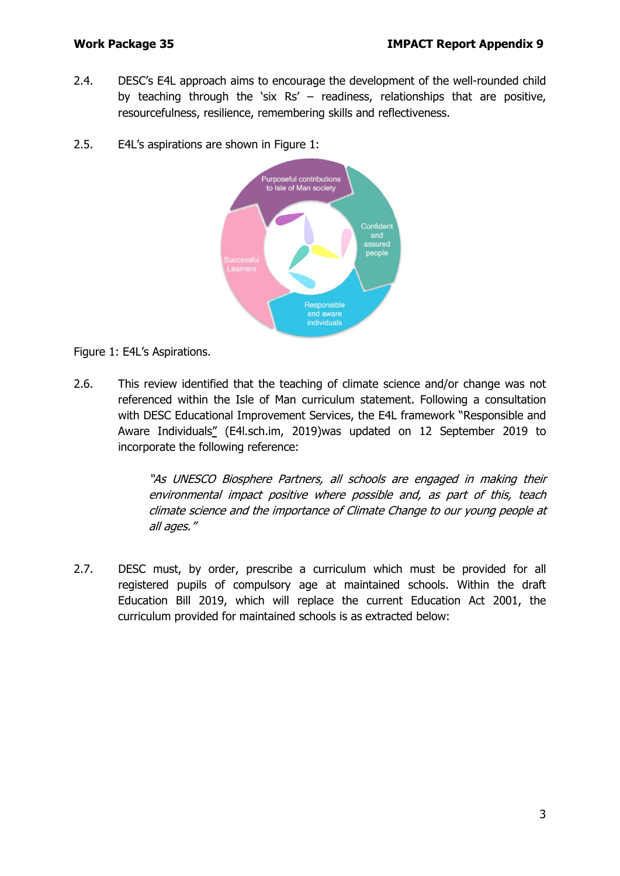- 2.4. DESC's E4L approach aims to encourage the development of the well-rounded child by teaching through the 'six  $Rs' -$  readiness, relationships that are positive, resourcefulness, resilience, remembering skills and reflectiveness.
- 2.5. E4L's aspirations are shown in Figure 1:



Figure 1: E4L's Aspirations.

2.6. This review identified that the teaching of climate science and/or change was not referenced within the Isle of Man curriculum statement. Following a consultation with DESC Educational Improvement Services, the E4L framework ["Responsible and](https://e4l.sch.im/pages/index/view/id/6/Responsible%20and%20Aware%20Individuals)  [Aware Individuals"](https://e4l.sch.im/pages/index/view/id/6/Responsible%20and%20Aware%20Individuals) (E4l.sch.im, 2019)was updated on 12 September 2019 to incorporate the following reference:

> "As UNESCO Biosphere Partners, all schools are engaged in making their environmental impact positive where possible and, as part of this, teach climate science and the importance of Climate Change to our young people at all ages."

2.7. DESC must, by order, prescribe a curriculum which must be provided for all registered pupils of compulsory age at maintained schools. Within the draft [Education Bill 2019,](https://consult.gov.im/education-and-children/the-new-education-bill/supporting_documents/EducationBill2019.pdf) which will replace the current Education Act 2001, the curriculum provided for maintained schools is as extracted below: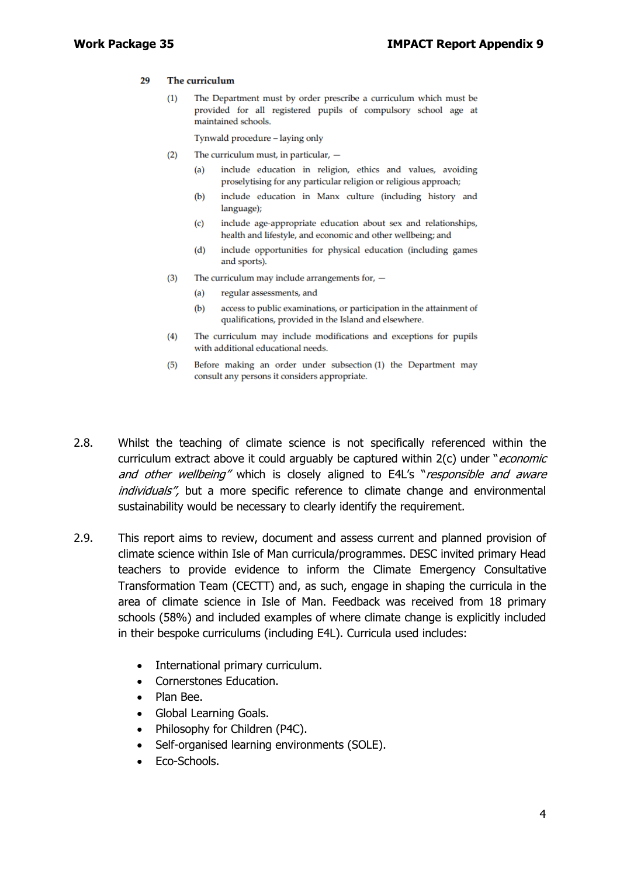#### 29 The curriculum

The Department must by order prescribe a curriculum which must be  $(1)$ provided for all registered pupils of compulsory school age at maintained schools.

Tynwald procedure - laying only

- $(2)$ The curriculum must, in particular,
	- include education in religion, ethics and values, avoiding  $(a)$ proselytising for any particular religion or religious approach;
	- include education in Manx culture (including history and  $(b)$ language);
	- include age-appropriate education about sex and relationships,  $(c)$ health and lifestyle, and economic and other wellbeing; and
	- include opportunities for physical education (including games  $(d)$ and sports).
- $(3)$ The curriculum may include arrangements for,  $-$ 
	- $(a)$ regular assessments, and
	- $(b)$ access to public examinations, or participation in the attainment of qualifications, provided in the Island and elsewhere.
- The curriculum may include modifications and exceptions for pupils  $(4)$ with additional educational needs.
- Before making an order under subsection (1) the Department may  $(5)$ consult any persons it considers appropriate.
- 2.8. Whilst the teaching of climate science is not specifically referenced within the curriculum extract above it could arguably be captured within  $2(c)$  under "*economic* and other wellbeing" which is closely aligned to E4L's "responsible and aware individuals", but a more specific reference to climate change and environmental sustainability would be necessary to clearly identify the requirement.
- 2.9. This report aims to review, document and assess current and planned provision of climate science within Isle of Man curricula/programmes. DESC invited primary Head teachers to provide evidence to inform the Climate Emergency Consultative Transformation Team (CECTT) and, as such, engage in shaping the curricula in the area of climate science in Isle of Man. Feedback was received from 18 primary schools (58%) and included examples of where climate change is explicitly included in their bespoke curriculums (including E4L). Curricula used includes:
	- International primary curriculum.
	- Cornerstones Education.
	- Plan Bee.
	- Global Learning Goals.
	- Philosophy for Children (P4C).
	- Self-organised learning environments (SOLE).
	- Eco-Schools.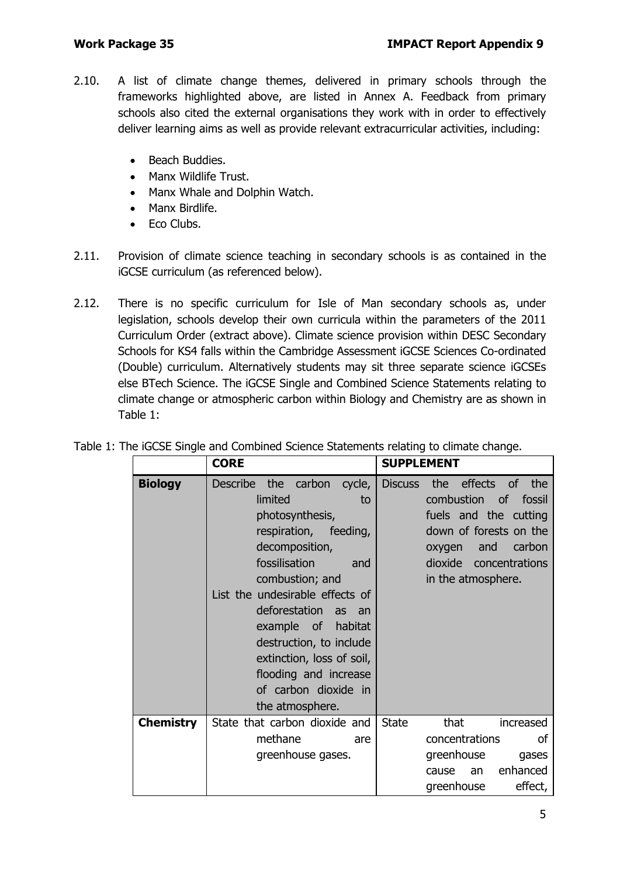- 2.10. A list of climate change themes, delivered in primary schools through the frameworks highlighted above, are listed in Annex A. Feedback from primary schools also cited the external organisations they work with in order to effectively deliver learning aims as well as provide relevant extracurricular activities, including:
	- Beach Buddies.
	- Manx Wildlife Trust.
	- Manx Whale and Dolphin Watch.
	- Manx Birdlife.
	- Eco Clubs.
- 2.11. Provision of climate science teaching in secondary schools is as contained in the iGCSE curriculum (as referenced below).
- 2.12. There is no specific curriculum for Isle of Man secondary schools as, under legislation, schools develop their own curricula within the parameters of the 2011 Curriculum Order (extract above). Climate science provision within DESC Secondary Schools for KS4 falls within the [Cambridge Assessment iGCSE Sciences Co-ordinated](https://www.cambridgeinternational.org/programmes-and-qualifications/cambridge-igcse-sciences-co-ordinated-double-0654/)  [\(Double\)](https://www.cambridgeinternational.org/programmes-and-qualifications/cambridge-igcse-sciences-co-ordinated-double-0654/) curriculum. Alternatively students may sit three separate science iGCSEs else BTech Science. The iGCSE Single and Combined Science Statements relating to climate change or atmospheric carbon within Biology and Chemistry are as shown in Table 1:

|                  | <b>CORE</b>                                                                                                                                                                                                                                                                                                                                                                               | <b>SUPPLEMENT</b>                                                                                                                                                                                                          |
|------------------|-------------------------------------------------------------------------------------------------------------------------------------------------------------------------------------------------------------------------------------------------------------------------------------------------------------------------------------------------------------------------------------------|----------------------------------------------------------------------------------------------------------------------------------------------------------------------------------------------------------------------------|
| <b>Biology</b>   | <b>Describe</b><br>the carbon<br>cycle,<br>limited<br>to<br>photosynthesis,<br>respiration,<br>feeding,<br>decomposition,<br>fossilisation<br>and<br>combustion; and<br>List the undesirable effects of<br>deforestation<br>as<br>an<br>example of<br>habitat<br>destruction, to include<br>extinction, loss of soil,<br>flooding and increase<br>of carbon dioxide in<br>the atmosphere. | <b>Discuss</b><br>effects<br>the<br><b>of</b><br>the<br>combustion<br><b>of</b><br>fossil<br>fuels and the cutting<br>down of forests on the<br>carbon<br>and<br>oxygen<br>dioxide<br>concentrations<br>in the atmosphere. |
| <b>Chemistry</b> | State that carbon dioxide and<br>methane<br>are                                                                                                                                                                                                                                                                                                                                           | <b>State</b><br>that<br>increased<br>concentrations<br><b>of</b>                                                                                                                                                           |
|                  | greenhouse gases.                                                                                                                                                                                                                                                                                                                                                                         | greenhouse<br>gases                                                                                                                                                                                                        |
|                  |                                                                                                                                                                                                                                                                                                                                                                                           | enhanced<br>an<br>cause<br>effect,<br>greenhouse                                                                                                                                                                           |

|  |  | Table 1: The iGCSE Single and Combined Science Statements relating to climate change. |  |  |
|--|--|---------------------------------------------------------------------------------------|--|--|
|  |  |                                                                                       |  |  |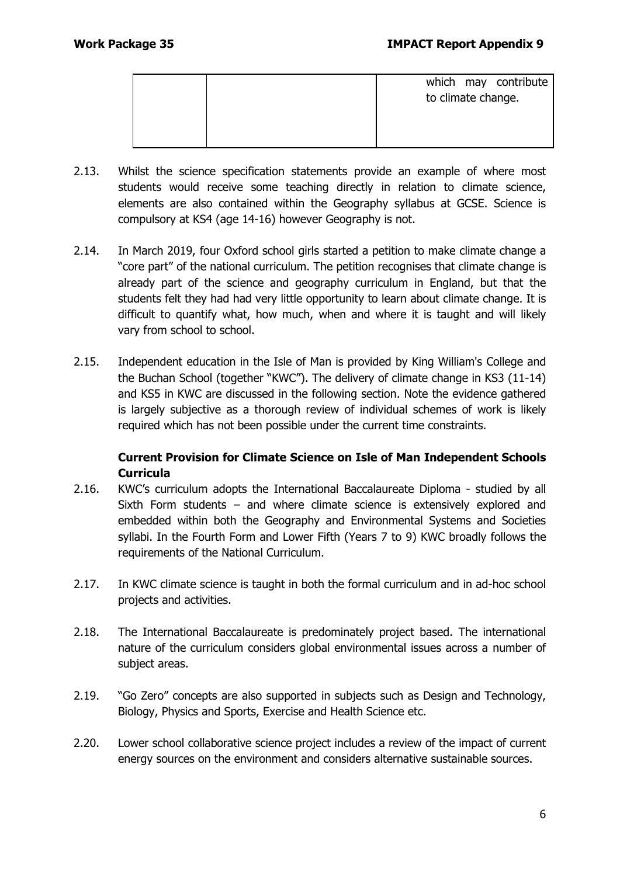|  | which may contribute<br>to climate change. |
|--|--------------------------------------------|
|  |                                            |

- 2.13. Whilst the science specification statements provide an example of where most students would receive some teaching directly in relation to climate science, elements are also contained within the [Geography syllabus](https://www.cambridgeinternational.org/Images/414139-2020-2022-syllabus.pdf) at GCSE. Science is compulsory at KS4 (age 14-16) however Geography is not.
- 2.14. In March 2019, four Oxford school girls started a petition to make climate change a "core part" of the national curriculum. The petition recognises that climate change is already part of the science and geography curriculum in England, but that the students felt they had had very little opportunity to learn about climate change. It is difficult to quantify what, how much, when and where it is taught and will likely vary from school to school.
- 2.15. Independent education in the Isle of Man is provided by King William's College and the Buchan School (together "KWC"). The delivery of climate change in KS3 (11-14) and KS5 in KWC are discussed in the following section. Note the evidence gathered is largely subjective as a thorough review of individual schemes of work is likely required which has not been possible under the current time constraints.

#### **Current Provision for Climate Science on Isle of Man Independent Schools Curricula**

- 2.16. KWC's curriculum adopts the [International Baccalaureate Diploma](https://www.kwc.im/uploads/ib-guide-2020.pdf) studied by all Sixth Form students – and where climate science is extensively explored and embedded within both the Geography and Environmental Systems and Societies syllabi. In the Fourth Form and Lower Fifth (Years 7 to 9) KWC broadly follows the requirements of the National Curriculum.
- 2.17. In KWC climate science is taught in both the formal curriculum and in ad-hoc school projects and activities.
- 2.18. The International Baccalaureate is predominately project based. The international nature of the curriculum considers global environmental issues across a number of subject areas.
- 2.19. "Go Zero" concepts are also supported in subjects such as Design and Technology, Biology, Physics and Sports, Exercise and Health Science etc.
- 2.20. Lower school collaborative science project includes a review of the impact of current energy sources on the environment and considers alternative sustainable sources.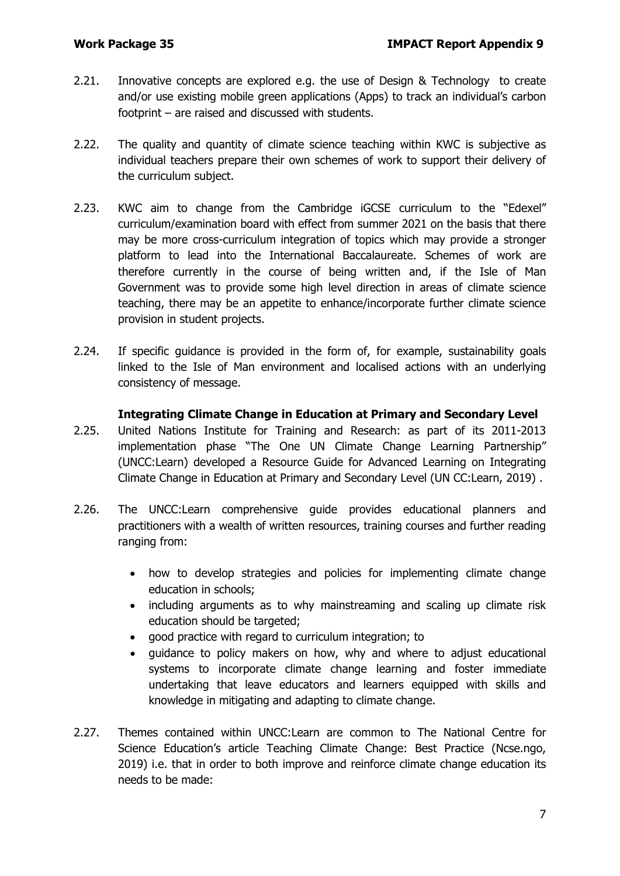- 2.21. Innovative concepts are explored e.g. the use of Design & Technology to create and/or use existing mobile green applications [\(Apps\)](https://www.theguardian.com/environment/green-living-blog/2010/feb/17/top-10-green-iphone-apps) to track an individual's carbon footprint – are raised and discussed with students.
- 2.22. The quality and quantity of climate science teaching within KWC is subjective as individual teachers prepare their own schemes of work to support their delivery of the curriculum subject.
- 2.23. KWC aim to change from the Cambridge iGCSE curriculum to the "Edexel" curriculum/examination board with effect from summer 2021 on the basis that there may be more cross-curriculum integration of topics which may provide a stronger platform to lead into the International Baccalaureate. Schemes of work are therefore currently in the course of being written and, if the Isle of Man Government was to provide some high level direction in areas of climate science teaching, there may be an appetite to enhance/incorporate further climate science provision in student projects.
- 2.24. If specific quidance is provided in the form of, for example, sustainability goals linked to the Isle of Man environment and localised actions with an underlying consistency of message.

#### **Integrating Climate Change in Education at Primary and Secondary Level**

- 2.25. United Nations Institute for Training and Research: as part of its 2011-2013 implementation phase "The One UN Climate Change Learning Partnership" (UNCC:Learn) developed a Resource Guide for Advanced Learning on Integrating Climate Change in Education at Primary and Secondary Level (UN CC:Learn, 2019) .
- 2.26. The UNCC:Learn comprehensive guide provides educational planners and practitioners with a wealth of written resources, training courses and further reading ranging from:
	- how to develop strategies and policies for implementing climate change education in schools;
	- including arguments as to why mainstreaming and scaling up climate risk education should be targeted;
	- good practice with regard to curriculum integration; to
	- guidance to policy makers on how, why and where to adjust educational systems to incorporate climate change learning and foster immediate undertaking that leave educators and learners equipped with skills and knowledge in mitigating and adapting to climate change.
- 2.27. Themes contained within UNCC:Learn are common to The National Centre for Science Education's article [Teaching Climate Change: Best Practice](https://ncse.ngo/teaching-climate-change-best-practices) (Ncse.ngo, 2019) i.e. that in order to both improve and reinforce climate change education its needs to be made: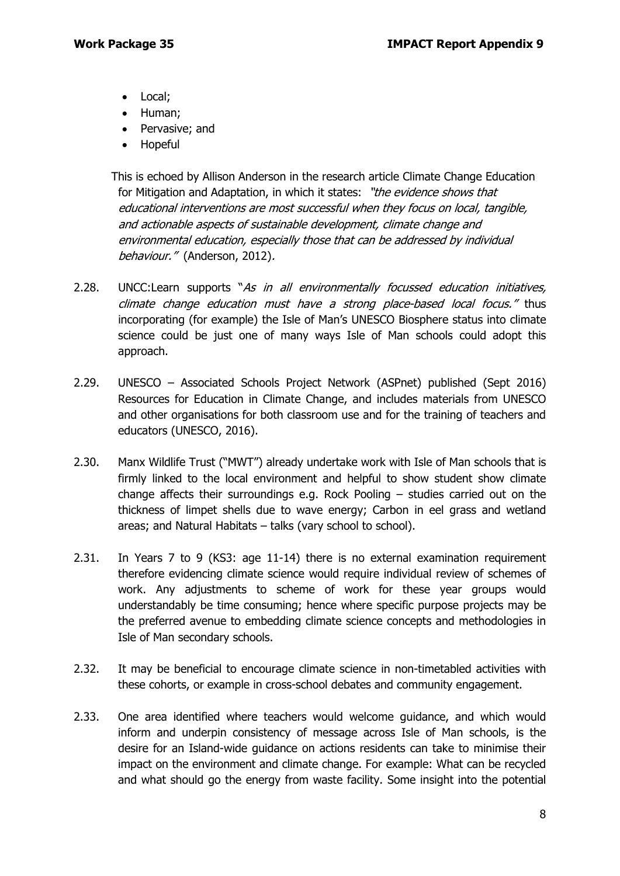- Local;
- Human;
- Pervasive; and
- Hopeful

This is echoed by Allison Anderson in the research article Climate Change Education for Mitigation and Adaptation, in which it states: "the evidence shows that educational interventions are most successful when they focus on local, tangible, and actionable aspects of sustainable development, climate change and environmental education, especially those that can be addressed by individual behaviour." (Anderson, 2012).

- 2.28. UNCC:Learn supports "As in all environmentally focussed education initiatives, climate change education must have a strong place-based local focus." thus incorporating (for example) the Isle of Man's UNESCO Biosphere status into climate science could be just one of many ways Isle of Man schools could adopt this approach.
- 2.29. UNESCO Associated Schools Project Network (ASPnet) published (Sept 2016) [Resources for Education in Climate Change,](https://aspnet.unesco.org/en-us/Documents/Resources%20list_Climate%20Change.pdf) and includes materials from UNESCO and other organisations for both classroom use and for the training of teachers and educators (UNESCO, 2016).
- 2.30. Manx Wildlife Trust ("MWT") already undertake work with Isle of Man schools that is firmly linked to the local environment and helpful to show student show climate change affects their surroundings e.g. Rock Pooling – studies carried out on the thickness of limpet shells due to wave energy; Carbon in eel grass and wetland areas; and Natural Habitats – talks (vary school to school).
- 2.31. In Years 7 to 9 (KS3: age 11-14) there is no external examination requirement therefore evidencing climate science would require individual review of schemes of work. Any adjustments to scheme of work for these year groups would understandably be time consuming; hence where specific purpose projects may be the preferred avenue to embedding climate science concepts and methodologies in Isle of Man secondary schools.
- 2.32. It may be beneficial to encourage climate science in non-timetabled activities with these cohorts, or example in cross-school debates and community engagement.
- 2.33. One area identified where teachers would welcome guidance, and which would inform and underpin consistency of message across Isle of Man schools, is the desire for an Island-wide guidance on actions residents can take to minimise their impact on the environment and climate change. For example: What can be recycled and what should go the energy from waste facility. Some insight into the potential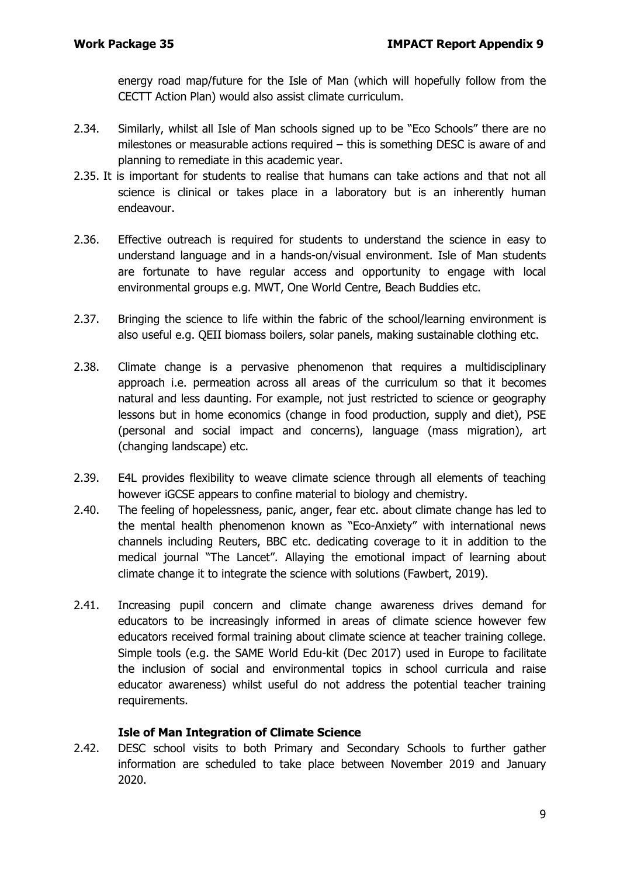energy road map/future for the Isle of Man (which will hopefully follow from the CECTT Action Plan) would also assist climate curriculum.

- 2.34. Similarly, whilst all Isle of Man schools signed up to be "Eco Schools" there are no milestones or measurable actions required – this is something DESC is aware of and planning to remediate in this academic year.
- 2.35. It is important for students to realise that humans can take actions and that not all science is clinical or takes place in a laboratory but is an inherently human endeavour.
- 2.36. Effective outreach is required for students to understand the science in easy to understand language and in a hands-on/visual environment. Isle of Man students are fortunate to have regular access and opportunity to engage with local environmental groups e.g. MWT, One World Centre, Beach Buddies etc.
- 2.37. Bringing the science to life within the fabric of the school/learning environment is also useful e.g. QEII biomass boilers, solar panels, making sustainable clothing etc.
- 2.38. Climate change is a pervasive phenomenon that requires a multidisciplinary approach i.e. permeation across all areas of the curriculum so that it becomes natural and less daunting. For example, not just restricted to science or geography lessons but in home economics (change in food production, supply and diet), PSE (personal and social impact and concerns), language (mass migration), art (changing landscape) etc.
- 2.39. E4L provides flexibility to weave climate science through all elements of teaching however iGCSE appears to confine material to biology and chemistry.
- 2.40. The feeling of hopelessness, panic, anger, fear etc. about climate change has led to the mental health phenomenon known as "Eco-Anxiety" with international news channels including Reuters, BBC etc. dedicating coverage to it in addition to the medical journal ["The Lancet"](https://www.thelancet.com/journals/lanplh/article/PIIS2542-5196(17)30052-9/fulltext). Allaying the emotional impact of learning about climate change it to integrate the science with solutions (Fawbert, 2019).
- 2.41. Increasing pupil concern and climate change awareness drives demand for educators to be increasingly informed in areas of climate science however few educators received formal training about climate science at teacher training college. Simple tools (e.g. the SAME World Edu-kit (Dec 2017) used in Europe to facilitate the inclusion of social and environmental topics in school curricula and raise educator awareness) whilst useful do not address the potential teacher training requirements.

#### **Isle of Man Integration of Climate Science**

2.42. DESC school visits to both Primary and Secondary Schools to further gather information are scheduled to take place between November 2019 and January 2020.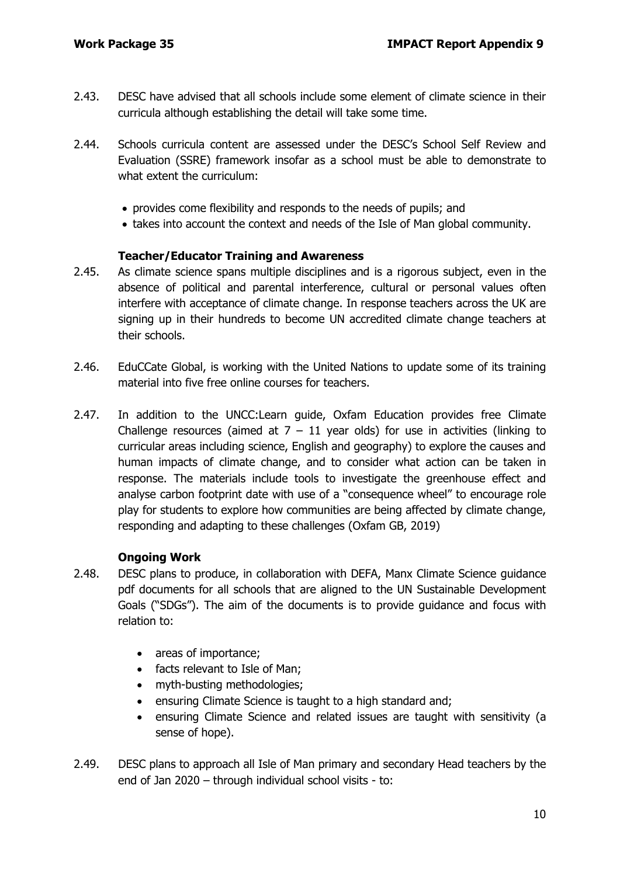- 2.43. DESC have advised that all schools include some element of climate science in their curricula although establishing the detail will take some time.
- 2.44. Schools curricula content are assessed under the DESC's School Self Review and Evaluation [\(SSRE\)](https://www.gov.im/about-the-government/departments/education-sport-and-culture/information-and-publications/s/school-self-review-and-evaluation-ssre/) framework insofar as a school must be able to demonstrate to what extent the curriculum:
	- provides come flexibility and responds to the needs of pupils; and
	- takes into account the context and needs of the Isle of Man global community.

#### **Teacher/Educator Training and Awareness**

- 2.45. As climate science spans multiple disciplines and is a rigorous subject, even in the absence of political and parental interference, cultural or personal values often interfere with acceptance of climate change. In response teachers across the UK are signing up in their hundreds to become UN accredited climate change teachers at their schools.
- 2.46. EduCCate Global, is working with the United Nations to update some of its training material into five free online courses for teachers.
- 2.47. In addition to the UNCC:Learn guide, [Oxfam Education](https://www.oxfam.org.uk/education/resources/climate-challenge-7-11) provides free Climate Challenge resources (aimed at  $7 - 11$  year olds) for use in activities (linking to curricular areas including science, English and geography) to explore the causes and human impacts of climate change, and to consider what action can be taken in response. The materials include tools to investigate the greenhouse effect and analyse carbon footprint date with use of a "consequence wheel" to encourage role play for students to explore how communities are being affected by climate change, responding and adapting to these challenges (Oxfam GB, 2019)

#### **Ongoing Work**

- 2.48. DESC plans to produce, in collaboration with DEFA, Manx Climate Science guidance pdf documents for all schools that are aligned to the UN Sustainable Development Goals ("SDGs"). The aim of the documents is to provide guidance and focus with relation to:
	- areas of importance;
	- facts relevant to Isle of Man;
	- myth-busting methodologies;
	- ensuring Climate Science is taught to a high standard and;
	- ensuring Climate Science and related issues are taught with sensitivity (a sense of hope).
- 2.49. DESC plans to approach all Isle of Man primary and secondary Head teachers by the end of Jan 2020 – through individual school visits - to: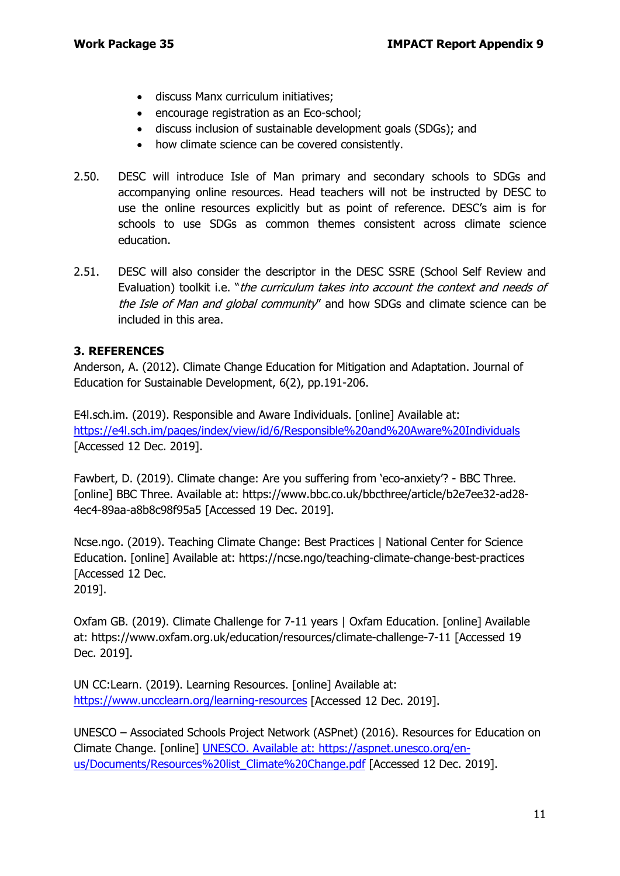- discuss Manx curriculum initiatives;
- encourage registration as an Eco-school;
- discuss inclusion of sustainable development goals (SDGs); and
- how climate science can be covered consistently.
- 2.50. DESC will introduce Isle of Man primary and secondary schools to SDGs and accompanying online resources. Head teachers will not be instructed by DESC to use the online resources explicitly but as point of reference. DESC's aim is for schools to use SDGs as common themes consistent across climate science education.
- 2.51. DESC will also consider the descriptor in the DESC SSRE (School Self Review and Evaluation) toolkit i.e. "the curriculum takes into account the context and needs of the Isle of Man and global community" and how SDGs and climate science can be included in this area.

## **3. REFERENCES**

Anderson, A. (2012). Climate Change Education for Mitigation and Adaptation. Journal of Education for Sustainable Development, 6(2), pp.191-206.

E4l.sch.im. (2019). Responsible and Aware Individuals. [online] Available at: <https://e4l.sch.im/pages/index/view/id/6/Responsible%20and%20Aware%20Individuals> [Accessed 12 Dec. 2019].

Fawbert, D. (2019). Climate change: Are you suffering from 'eco-anxiety'? - BBC Three. [online] BBC Three. Available at: https://www.bbc.co.uk/bbcthree/article/b2e7ee32-ad28- 4ec4-89aa-a8b8c98f95a5 [Accessed 19 Dec. 2019].

Ncse.ngo. (2019). Teaching Climate Change: Best Practices | National Center for Science Education. [online] Available at: https://ncse.ngo/teaching-climate-change-best-practices [Accessed 12 Dec.

2019].

Oxfam GB. (2019). Climate Challenge for 7-11 years | Oxfam Education. [online] Available at: https://www.oxfam.org.uk/education/resources/climate-challenge-7-11 [Accessed 19 Dec. 2019].

UN CC:Learn. (2019). Learning Resources. [online] Available at: <https://www.uncclearn.org/learning-resources> [Accessed 12 Dec. 2019].

UNESCO – Associated Schools Project Network (ASPnet) (2016). Resources for Education on Climate Change. [online] UNESCO. Available at: https://aspnet.unesco.org/enus/Documents/Resources%20list\_Climate%20Change.pdf [Accessed 12 Dec. 2019].